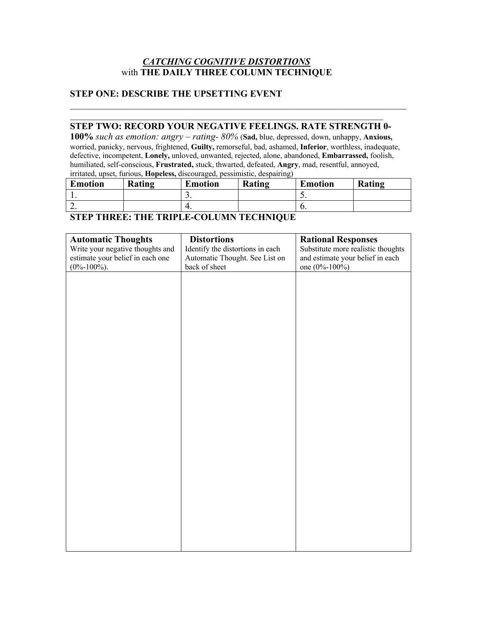# *CATCHING COGNITIVE DISTORTIONS* with **THE DAILY THREE COLUMN TECHNIQUE**

#### **STEP ONE: DESCRIBE THE UPSETTING EVENT**

# **STEP TWO: RECORD YOUR NEGATIVE FEELINGS. RATE STRENGTH 0-**

**100%** *such as emotion: angry – rating- 80%* (**Sad,** blue, depressed, down, unhappy, **Anxious,**  worried, panicky, nervous, frightened, **Guilty,** remorseful, bad, ashamed, **Inferior**, worthless, inadequate, defective, incompetent, **Lonely,** unloved, unwanted, rejected, alone, abandoned, **Embarrassed,** foolish, humiliated, self-conscious, **Frustrated,** stuck, thwarted, defeated, **Angry**, mad, resentful, annoyed, irritated, upset, furious, **Hopeless,** discouraged, pessimistic, despairing)

| <b>Emotion</b> | Rating | <b>Emotion</b> | Rating | <b>Emotion</b> | Rating |
|----------------|--------|----------------|--------|----------------|--------|
| . .            |        | <u>.</u>       |        | ◡.             |        |
| <u>.</u>       |        | т.             |        | v.             |        |

# **STEP THREE: THE TRIPLE-COLUMN TECHNIQUE**

| <b>Automatic Thoughts</b>        | <b>Distortions</b>               | <b>Rational Responses</b>          |
|----------------------------------|----------------------------------|------------------------------------|
| Write your negative thoughts and | Identify the distortions in each | Substitute more realistic thoughts |
| estimate your belief in each one | Automatic Thought. See List on   | and estimate your belief in each   |
| $(0\% - 100\%)$ .                | back of sheet                    | one (0%-100%)                      |
|                                  |                                  |                                    |
|                                  |                                  |                                    |
|                                  |                                  |                                    |
|                                  |                                  |                                    |
|                                  |                                  |                                    |
|                                  |                                  |                                    |
|                                  |                                  |                                    |
|                                  |                                  |                                    |
|                                  |                                  |                                    |
|                                  |                                  |                                    |
|                                  |                                  |                                    |
|                                  |                                  |                                    |
|                                  |                                  |                                    |
|                                  |                                  |                                    |
|                                  |                                  |                                    |
|                                  |                                  |                                    |
|                                  |                                  |                                    |
|                                  |                                  |                                    |
|                                  |                                  |                                    |
|                                  |                                  |                                    |
|                                  |                                  |                                    |
|                                  |                                  |                                    |
|                                  |                                  |                                    |
|                                  |                                  |                                    |
|                                  |                                  |                                    |
|                                  |                                  |                                    |
|                                  |                                  |                                    |
|                                  |                                  |                                    |
|                                  |                                  |                                    |
|                                  |                                  |                                    |